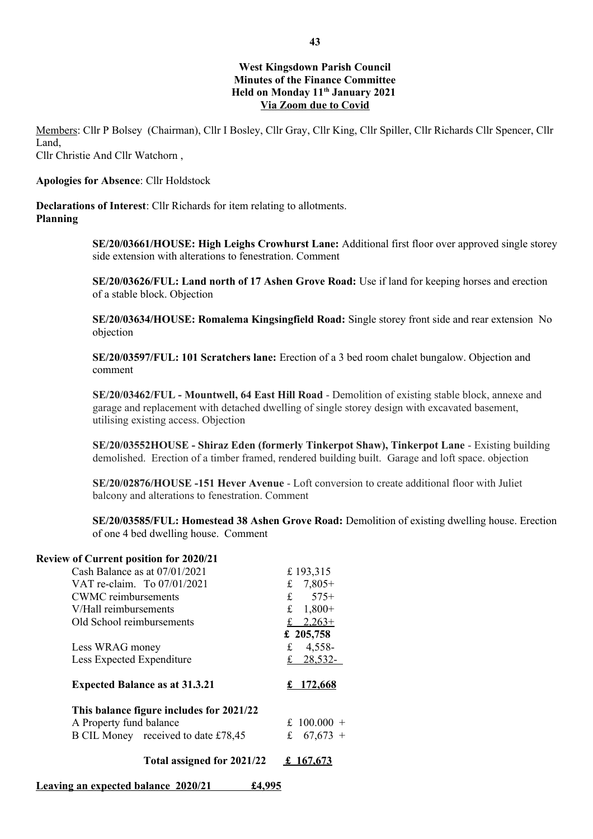# **West Kingsdown Parish Council Minutes of the Finance Committee Held on Monday 11th January 2021 Via Zoom due to Covid**

Members: Cllr P Bolsey (Chairman), Cllr I Bosley, Cllr Gray, Cllr King, Cllr Spiller, Cllr Richards Cllr Spencer, Cllr Land, Cllr Christie And Cllr Watchorn ,

#### **Apologies for Absence**: Cllr Holdstock

**Declarations of Interest**: Cllr Richards for item relating to allotments. **Planning** 

> **SE/20/03661/HOUSE: High Leighs Crowhurst Lane:** Additional first floor over approved single storey side extension with alterations to fenestration. Comment

**SE/20/03626/FUL: Land north of 17 Ashen Grove Road:** Use if land for keeping horses and erection of a stable block. Objection

**SE/20/03634/HOUSE: Romalema Kingsingfield Road:** Single storey front side and rear extension No objection

**SE/20/03597/FUL: 101 Scratchers lane:** Erection of a 3 bed room chalet bungalow. Objection and comment

**SE/20/03462/FUL - Mountwell, 64 East Hill Road** - Demolition of existing stable block, annexe and garage and replacement with detached dwelling of single storey design with excavated basement, utilising existing access. Objection

**SE/20/03552HOUSE - Shiraz Eden (formerly Tinkerpot Shaw), Tinkerpot Lane** - Existing building demolished. Erection of a timber framed, rendered building built. Garage and loft space. objection

**SE/20/02876/HOUSE -151 Hever Avenue** - Loft conversion to create additional floor with Juliet balcony and alterations to fenestration. Comment

**SE/20/03585/FUL: Homestead 38 Ashen Grove Road:** Demolition of existing dwelling house. Erection of one 4 bed dwelling house. Comment

## **Review of Current position for 2020/21**

| Total assigned for 2021/22               | £ 167,673       |
|------------------------------------------|-----------------|
| B CIL Money received to date £78,45      | £<br>$67,673 +$ |
| A Property fund balance                  | £ 100.000 $+$   |
| This balance figure includes for 2021/22 |                 |
| <b>Expected Balance as at 31.3.21</b>    | £ $172,668$     |
| Less Expected Expenditure                | 28,532-         |
| Less WRAG money                          | 4,558-<br>f     |
|                                          | £ 205,758       |
| Old School reimbursements                | £ $2,263+$      |
| V/Hall reimbursements                    | $1,800+$<br>f   |
| <b>CWMC</b> reimbursements               | £ $575+$        |
| VAT re-claim. To 07/01/2021              | $7,805+$<br>£   |
| Cash Balance as at $07/01/2021$          | £193,315        |

 **Leaving an expected balance 2020/21 £4,995**